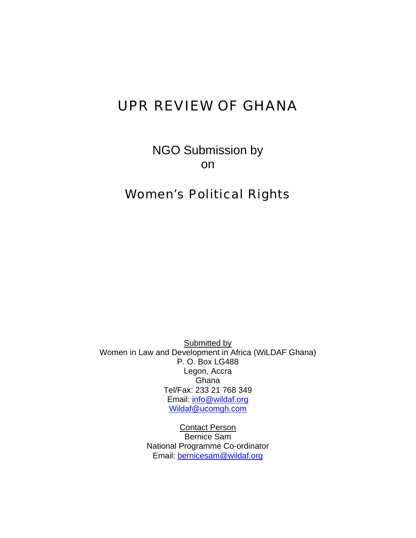# UPR REVIEW OF GHANA

NGO Submission by on

# Women's Political Rights

Submitted by Women in Law and Development in Africa (WiLDAF Ghana) P. O. Box LG488 Legon, Accra Ghana Tel/Fax: 233 21 768 349 Email: info@wildaf.org Wildaf@ucomgh.com

> Contact Person Bernice Sam National Programme Co-ordinator Email: bernicesam@wildaf.org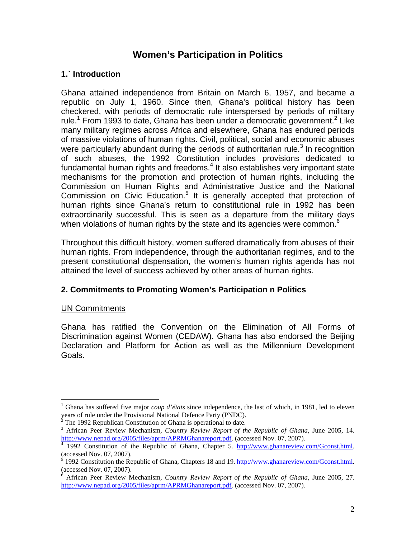# **Women's Participation in Politics**

# **1.` Introduction**

Ghana attained independence from Britain on March 6, 1957, and became a republic on July 1, 1960. Since then, Ghana's political history has been checkered, with periods of democratic rule interspersed by periods of military rule.<sup>1</sup> From 1993 to date, Ghana has been under a democratic government.<sup>2</sup> Like many military regimes across Africa and elsewhere, Ghana has endured periods of massive violations of human rights. Civil, political, social and economic abuses were particularly abundant during the periods of authoritarian rule.<sup>3</sup> In recognition of such abuses, the 1992 Constitution includes provisions dedicated to fundamental human rights and freedoms. $4$  It also establishes very important state mechanisms for the promotion and protection of human rights, including the Commission on Human Rights and Administrative Justice and the National Commission on Civic Education.<sup>5</sup> It is generally accepted that protection of human rights since Ghana's return to constitutional rule in 1992 has been extraordinarily successful. This is seen as a departure from the military days when violations of human rights by the state and its agencies were common. $<sup>6</sup>$ </sup>

Throughout this difficult history, women suffered dramatically from abuses of their human rights. From independence, through the authoritarian regimes, and to the present constitutional dispensation, the women's human rights agenda has not attained the level of success achieved by other areas of human rights.

# **2. Commitments to Promoting Women's Participation n Politics**

#### UN Commitments

1

Ghana has ratified the Convention on the Elimination of All Forms of Discrimination against Women (CEDAW). Ghana has also endorsed the Beijing Declaration and Platform for Action as well as the Millennium Development Goals.

<sup>1</sup> Ghana has suffered five major *coup d'états* since independence, the last of which, in 1981, led to eleven years of rule under the Provisional National Defence Party (PNDC). 2

The 1992 Republican Constitution of Ghana is operational to date.

<sup>3</sup> African Peer Review Mechanism, *Country Review Report of the Republic of Ghana,* June 2005, 14. http://www.nepad.org/2005/files/aprm/APRMGhanareport.pdf. (accessed Nov. 07, 2007).

 <sup>1992</sup> Constitution of the Republic of Ghana, Chapter 5. http://www.ghanareview.com/Gconst.html. (accessed Nov. 07, 2007).

<sup>5</sup> 1992 Constitution the Republic of Ghana, Chapters 18 and 19. http://www.ghanareview.com/Gconst.html. (accessed Nov. 07, 2007).

<sup>6</sup> African Peer Review Mechanism, *Country Review Report of the Republic of Ghana,* June 2005, 27. http://www.nepad.org/2005/files/aprm/APRMGhanareport.pdf. (accessed Nov. 07, 2007).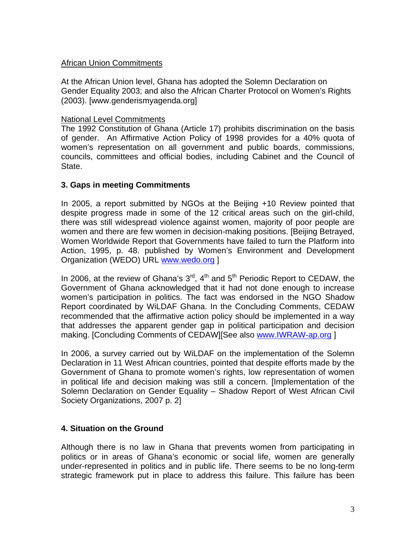#### African Union Commitments

At the African Union level, Ghana has adopted the Solemn Declaration on Gender Equality 2003; and also the African Charter Protocol on Women's Rights (2003). [www.genderismyagenda.org]

#### National Level Commitments

The 1992 Constitution of Ghana (Article 17) prohibits discrimination on the basis of gender. An Affirmative Action Policy of 1998 provides for a 40% quota of women's representation on all government and public boards, commissions, councils, committees and official bodies, including Cabinet and the Council of State.

#### **3. Gaps in meeting Commitments**

In 2005, a report submitted by NGOs at the Beijing +10 Review pointed that despite progress made in some of the 12 critical areas such on the girl-child, there was still widespread violence against women, majority of poor people are women and there are few women in decision-making positions. [Beijing Betrayed, Women Worldwide Report that Governments have failed to turn the Platform into Action, 1995, p. 48. published by Women's Environment and Development Organization (WEDO) URL www.wedo.org ]

In 2006, at the review of Ghana's  $3<sup>rd</sup>$ ,  $4<sup>th</sup>$  and  $5<sup>th</sup>$  Periodic Report to CEDAW, the Government of Ghana acknowledged that it had not done enough to increase women's participation in politics. The fact was endorsed in the NGO Shadow Report coordinated by WiLDAF Ghana. In the Concluding Comments, CEDAW recommended that the affirmative action policy should be implemented in a way that addresses the apparent gender gap in political participation and decision making. [Concluding Comments of CEDAW][See also www.IWRAW-ap.org ]

In 2006, a survey carried out by WiLDAF on the implementation of the Solemn Declaration in 11 West African countries, pointed that despite efforts made by the Government of Ghana to promote women's rights, low representation of women in political life and decision making was still a concern. [Implementation of the Solemn Declaration on Gender Equality – Shadow Report of West African Civil Society Organizations, 2007 p. 2]

# **4. Situation on the Ground**

Although there is no law in Ghana that prevents women from participating in politics or in areas of Ghana's economic or social life, women are generally under-represented in politics and in public life. There seems to be no long-term strategic framework put in place to address this failure. This failure has been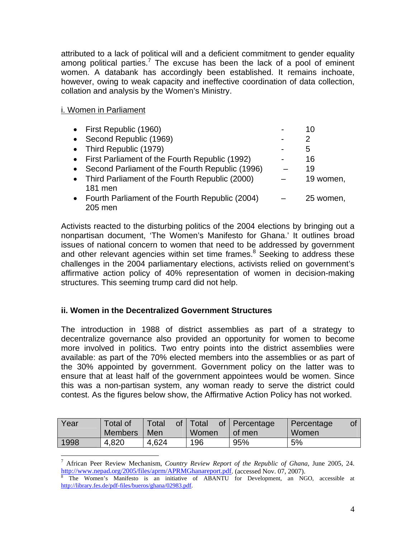attributed to a lack of political will and a deficient commitment to gender equality among political parties.<sup>7</sup> The excuse has been the lack of a pool of eminent women. A databank has accordingly been established. It remains inchoate, however, owing to weak capacity and ineffective coordination of data collection, collation and analysis by the Women's Ministry.

### i. Women in Parliament

 $\overline{a}$ 

| • First Republic (1960)                           | 10        |
|---------------------------------------------------|-----------|
| • Second Republic (1969)                          | 2         |
| • Third Republic (1979)                           | 5         |
| • First Parliament of the Fourth Republic (1992)  | 16        |
| Second Parliament of the Fourth Republic (1996)   | 19        |
| • Third Parliament of the Fourth Republic (2000)  | 19 women, |
| 181 men                                           |           |
| • Fourth Parliament of the Fourth Republic (2004) | 25 women, |
| 205 men                                           |           |

Activists reacted to the disturbing politics of the 2004 elections by bringing out a nonpartisan document, 'The Women's Manifesto for Ghana.' It outlines broad issues of national concern to women that need to be addressed by government and other relevant agencies within set time frames. $8$  Seeking to address these challenges in the 2004 parliamentary elections, activists relied on government's affirmative action policy of 40% representation of women in decision-making structures. This seeming trump card did not help.

# **ii. Women in the Decentralized Government Structures**

The introduction in 1988 of district assemblies as part of a strategy to decentralize governance also provided an opportunity for women to become more involved in politics. Two entry points into the district assemblies were available: as part of the 70% elected members into the assemblies or as part of the 30% appointed by government. Government policy on the latter was to ensure that at least half of the government appointees would be women. Since this was a non-partisan system, any woman ready to serve the district could contest. As the figures below show, the Affirmative Action Policy has not worked.

| Year | <b>Total of</b><br><b>Members</b> | $\circ$ of $\prime$<br>Total<br>Men | Total<br>Women | of   Percentage<br>of men | Percentage<br>Women |
|------|-----------------------------------|-------------------------------------|----------------|---------------------------|---------------------|
| 1998 | 4,820                             | 4,624                               | 196            | 95%                       | 5%                  |

7 African Peer Review Mechanism, *Country Review Report of the Republic of Ghana,* June 2005, 24. http://www.nepad.org/2005/files/aprm/APRMGhanareport.pdf. (accessed Nov. 07, 2007).

The Women's Manifesto is an initiative of ABANTU for Development, an NGO, accessible at http://library.fes.de/pdf-files/bueros/ghana/02983.pdf.